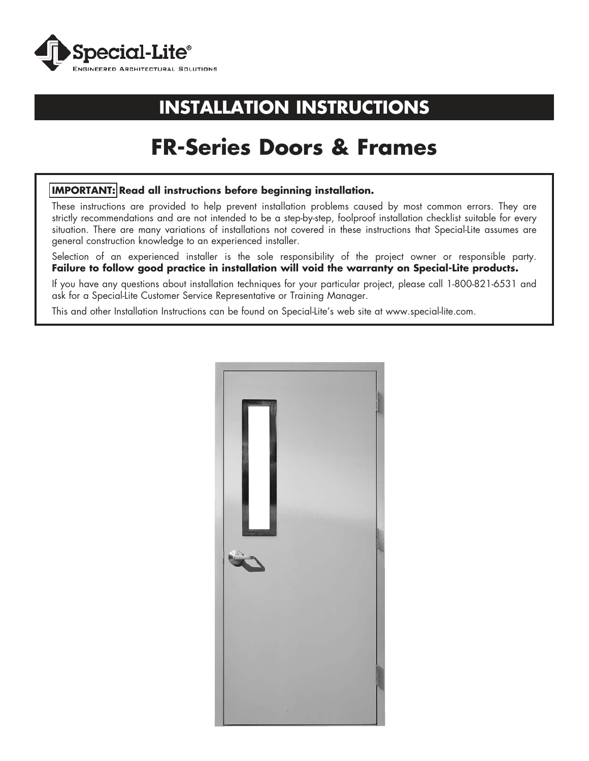

# **INSTALLATION INSTRUCTIONS**

# **FR-Series Doors & Frames**

### **IMPORTANT: Read all instructions before beginning installation.**

These instructions are provided to help prevent installation problems caused by most common errors. They are strictly recommendations and are not intended to be a step-by-step, foolproof installation checklist suitable for every situation. There are many variations of installations not covered in these instructions that Special-Lite assumes are general construction knowledge to an experienced installer.

Selection of an experienced installer is the sole responsibility of the project owner or responsible party. **Failure to follow good practice in installation will void the warranty on Special-Lite products.**

If you have any questions about installation techniques for your particular project, please call 1-800-821-6531 and ask for a Special-Lite Customer Service Representative or Training Manager.

This and other Installation Instructions can be found on Special-Lite's web site at www.special-lite.com.

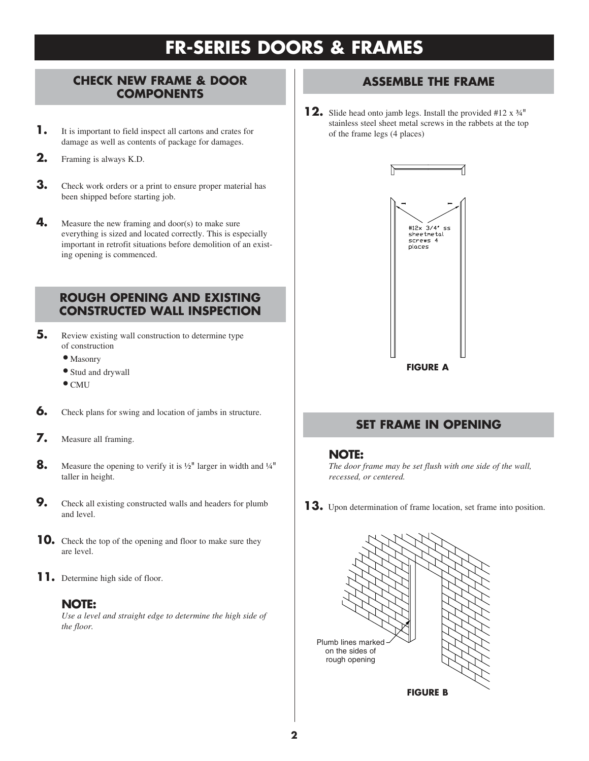# **FR-SERIES DOORS & FRAMES**

### **CHECK NEW FRAME & DOOR COMPONENTS**

- **1.** It is important to field inspect all cartons and crates for damage as well as contents of package for damages.
- **2.** Framing is always K.D.
- **3.** Check work orders or a print to ensure proper material has been shipped before starting job.
- **4.** Measure the new framing and door(s) to make sure everything is sized and located correctly. This is especially important in retrofit situations before demolition of an existing opening is commenced.

# **ROUGH OPENING AND EXISTING CONSTRUCTED WALL INSPECTION**

- **5.** Review existing wall construction to determine type of construction
	- Masonry
	- Stud and drywall
	- CMU
- **6.** Check plans for swing and location of jambs in structure.
- **7.** Measure all framing.
- **8.** Measure the opening to verify it is ½" larger in width and ¼" taller in height.
- **9.** Check all existing constructed walls and headers for plumb and level.
- **10.** Check the top of the opening and floor to make sure they are level.
- 11. Determine high side of floor.

### **NOTE:**

*Use a level and straight edge to determine the high side of the floor.* 

# **ASSEMBLE THE FRAME**

**12.** Slide head onto jamb legs. Install the provided #12 x ¾" stainless steel sheet metal screws in the rabbets at the top of the frame legs (4 places)



# **SET FRAME IN OPENING**

#### **NOTE:**

*The door frame may be set flush with one side of the wall, recessed, or centered.*

**13.** Upon determination of frame location, set frame into position.

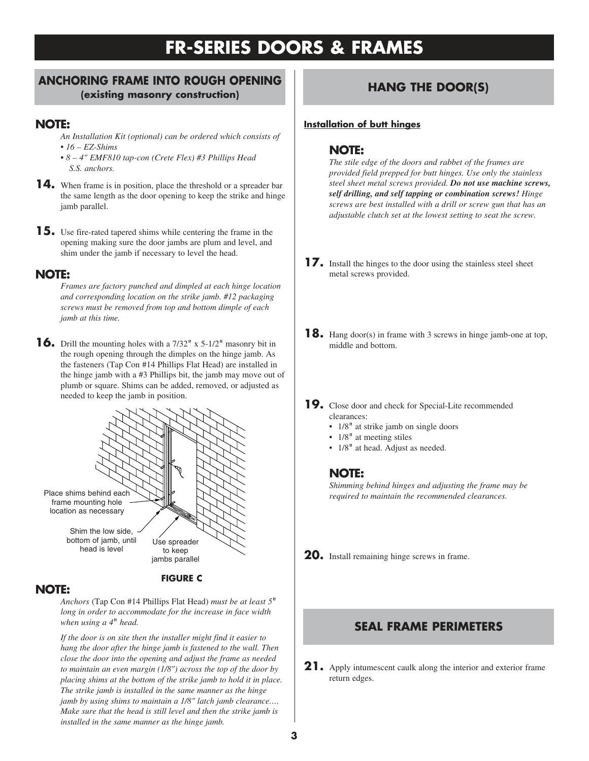# **FR-SERIES DOORS & FRAMES**

### **ANCHORING FRAME INTO ROUGH OPENING (existing masonry construction) HANG THE DOOR(S)**

#### **NOTE:**

- *An Installation Kit (optional) can be ordered which consists of* • *16 – EZ-Shims*
- *8 4" EMF810 tap-con (Crete Flex) #3 Phillips Head S.S. anchors.*
- **14.** When frame is in position, place the threshold or a spreader bar the same length as the door opening to keep the strike and hinge jamb parallel.
- **15.** Use fire-rated tapered shims while centering the frame in the opening making sure the door jambs are plum and level, and shim under the jamb if necessary to level the head.

#### **NOTE:**

*Frames are factory punched and dimpled at each hinge location and corresponding location on the strike jamb. #12 packaging screws must be removed from top and bottom dimple of each jamb at this time.*

**16.** Drill the mounting holes with a 7/32" x 5-1/2" masonry bit in the rough opening through the dimples on the hinge jamb. As the fasteners (Tap Con #14 Phillips Flat Head) are installed in the hinge jamb with a #3 Phillips bit, the jamb may move out of plumb or square. Shims can be added, removed, or adjusted as needed to keep the jamb in position.



#### **FIGURE C**

# **NOTE:**

*Anchors* (Tap Con #14 Phillips Flat Head) *must be at least 5*" *long in order to accommodate for the increase in face width when using a 4*" *head.*

*If the door is on site then the installer might find it easier to hang the door after the hinge jamb is fastened to the wall. Then close the door into the opening and adjust the frame as needed to maintain an even margin (1/8") across the top of the door by placing shims at the bottom of the strike jamb to hold it in place. The strike jamb is installed in the same manner as the hinge jamb by using shims to maintain a 1/8" latch jamb clearance…. Make sure that the head is still level and then the strike jamb is installed in the same manner as the hinge jamb.*

#### **Installation of butt hinges**

### **NOTE:**

*The stile edge of the doors and rabbet of the frames are provided field prepped for butt hinges. Use only the stainless steel sheet metal screws provided. Do not use machine screws, self drilling, and self tapping or combination screws! Hinge screws are best installed with a drill or screw gun that has an adjustable clutch set at the lowest setting to seat the screw.*

- **17.** Install the hinges to the door using the stainless steel sheet metal screws provided.
- **18.** Hang door(s) in frame with 3 screws in hinge jamb-one at top, middle and bottom.
- **19.** Close door and check for Special-Lite recommended clearances:
	- $1/8$ <sup>"</sup> at strike jamb on single doors
	- $1/8$ <sup>"</sup> at meeting stiles
	- 1/8" at head. Adjust as needed.

### **NOTE:**

*Shimming behind hinges and adjusting the frame may be required to maintain the recommended clearances.* 

**20.** Install remaining hinge screws in frame.

# **SEAL FRAME PERIMETERS**

**21.**Apply intumescent caulk along the interior and exterior frame return edges.